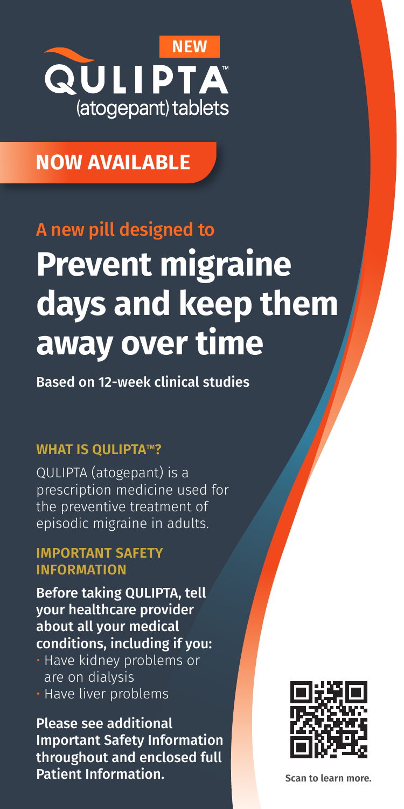

## **NOW AVAILABLE**

# **Prevent migraine days and keep them away over time** A new pill designed to

Based on 12-week clinical studies

### **WHAT IS QULIPTA™?**

QULIPTA (atogepant) is a prescription medicine used for the preventive treatment of episodic migraine in adults.

#### **IMPORTANT SAFETY INFORMATION**

Before taking QULIPTA, tell your healthcare provider about all your medical conditions, including if you:

- Have kidney problems or are on dialysis
- Have liver problems

Please see additional Important Safety Information throughout and enclosed full Patient Information.



**Scan to learn more.**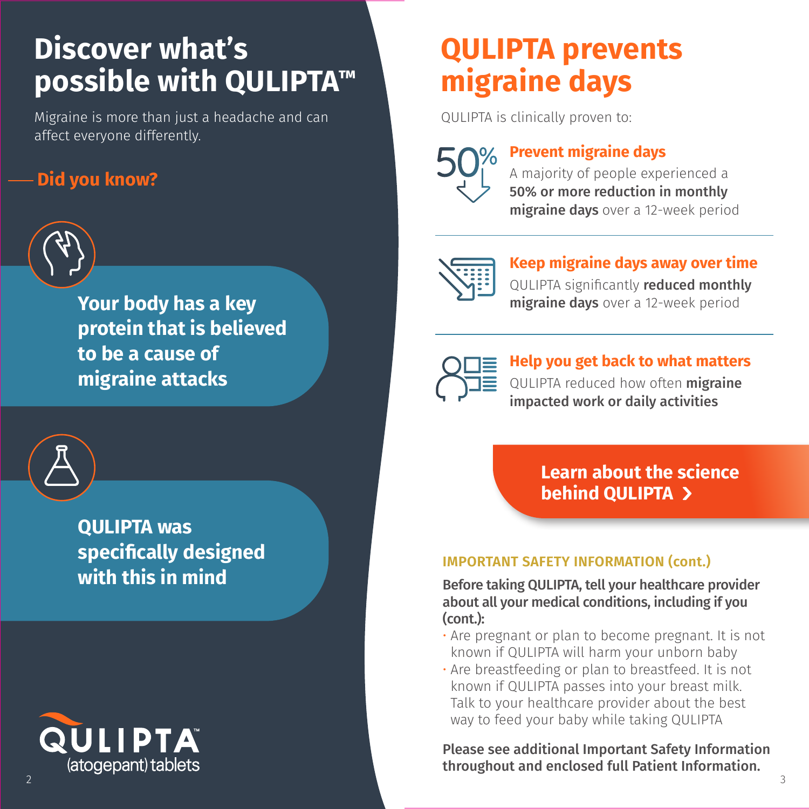# **Discover what's possible with QULIPTA™ made simple**

Migraine is more than just a headache and can **Enroll in** *QULIPTA Complete* **today** affect everyone differently.<br> *and example* 

#### **Did you know? patients can pay as little as \$0 per m** you know?



Your body has a key **protein that is believed Qulipta.com/savings** to be a cause of **to visit attacks** to visit  $\mathbb{Z}$ 



**QULIPTA was the change of discontinuance with the change of the change of the change of the change of the cha s** specifically designed **with this in mind** including monthly may apply may apply the full Terms and the full Terms and the full Terms and the full Terms  $\blacksquare$  snacifically designed  $\blacksquare$ visit http://www.abbrie.com/



# **QULIPTA prevents migraine days**

QULIPTA is clinically proven to:



### **Prevent migraine days**

A majority of people experienced a 50% or more reduction in monthly migraine days over a 12-week period



### **Keep migraine days away over time**

QULIPTA significantly reduced monthly migraine days over a 12-week period



**Help you get back to what matters** QULIPTA reduced how often migraine impacted work or daily activities

**Learn about the science behind QULIPTA**

### **IMPORTANT SAFETY INFORMATION (cont.)**

Before taking QULIPTA, tell your healthcare provider about all your medical conditions, including if you (cont.):

- Are pregnant or plan to become pregnant. It is not known if QULIPTA will harm your unborn baby
- Are breastfeeding or plan to breastfeed. It is not known if QULIPTA passes into your breast milk. Talk to your healthcare provider about the best way to feed your baby while taking QULIPTA

Please see additional Important Safety Information throughout and enclosed full Patient Information.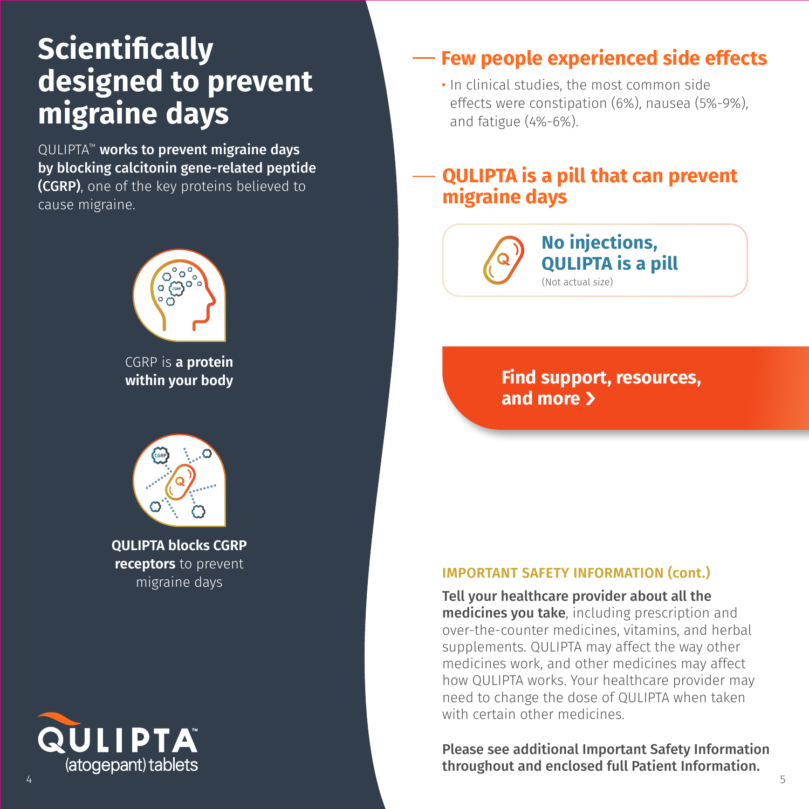# **Scientifically designed to prevent migraine days**

QULIPTA™ works to prevent migraine days by blocking calcitonin gene-related peptide (CGRP), one of the key proteins believed to cause migraine.



CGRP is **a protein within your body**



**QULIPTA blocks CGRP receptors** to prevent migraine days

# QULIPTA® (atogepant) tablets

## **Few people experienced side effects**

• In clinical studies, the most common side effects were constipation (6%), nausea (5%-9%), and fatigue (4%-6%).

### **QULIPTA is a pill that can prevent migraine days**



**Find support, resources, and more**

### **IMPORTANT SAFETY INFORMATION (cont.)**

Tell your healthcare provider about all the medicines you take, including prescription and over-the-counter medicines, vitamins, and herbal supplements. QULIPTA may affect the way other medicines work, and other medicines may affect how QULIPTA works. Your healthcare provider may need to change the dose of QULIPTA when taken with certain other medicines.

Please see additional Important Safety Information throughout and enclosed full Patient Information.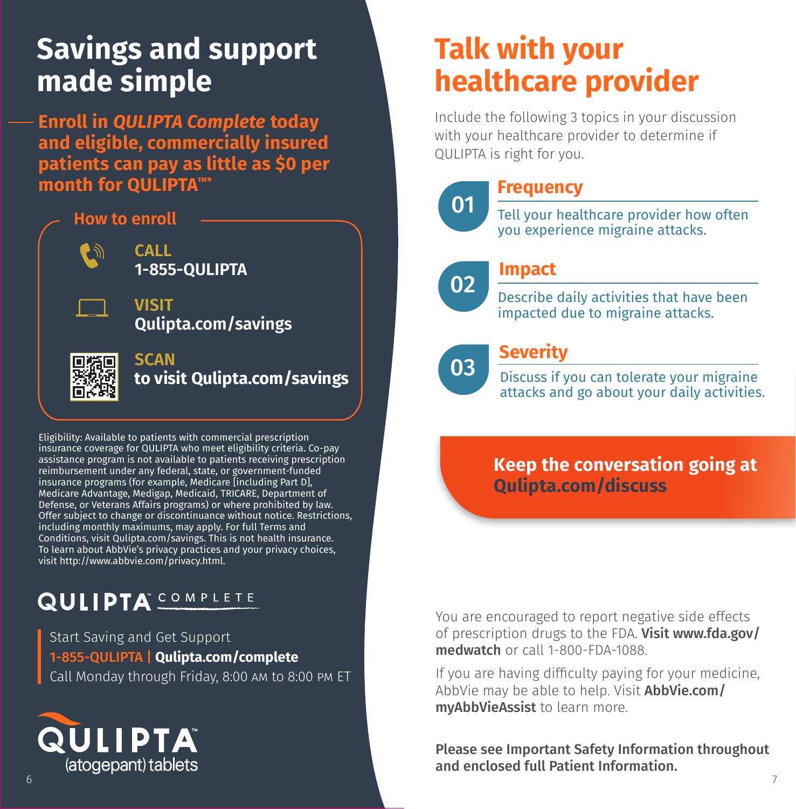# **Savings and support made simple**

**Enroll in** *QULIPTA Complete* **today and eligible, commercially insured patients can pay as little as \$0 per month for QULIPTA™\***

### **How to enroll**



**CALL 1-855-QULIPTA**

**VISIT Qulipta.com/savings**



#### **SCAN to visit Qulipta.com/savings**

Eligibility: Available to patients with commercial prescription insurance coverage for QULIPTA who meet eligibility criteria. Co-pay assistance program is not available to patients receiving prescription reimbursement under any federal, state, or government-funded insurance programs (for example, Medicare [including Part D], Medicare Advantage, Medigap, Medicaid, TRICARE, Department of Defense, or Veterans Affairs programs) or where prohibited by law. Offer subject to change or discontinuance without notice. Restrictions, including monthly maximums, may apply. For full Terms and Conditions, visit Qulipta.com/savings. This is not health insurance. To learn about AbbVie's privacy practices and your privacy choices, visit http://www.abbvie.com/privacy.html.

## **QULIPTA**<sup>COMPLETE</sup>

Start Saving and Get Support 1-855-QULIPTA | **Qulipta.com/complete** Call Monday through Friday, 8:00 am to 8:00 pm ET



# **QULIPTA prevents Talk with your migraine days healthcare provider**

Include the following 3 topics in your discussion **Prevent migraine days** QULIPTA is right for you. with your healthcare provider to determine if



02

### **Frequency**

Tell your healthcare provider how often you experience migraine attacks.

# **Keep migraine days away over time Impact**

<u>significantly reduced monthly reduced monthly reduced monthly reduced monthly reduced monthly reduced monthly reduced monthly reduced monthly reduced monthly reduced monetary reduced monetary reduced monetary reduced mone</u> bescribe daity activities that have been<br>impacted due to migraine attacks. Describe daily activities that have been

# 03

#### **Help you get back to what we get the set of the set of the set of the set of the set of the set of the set of the set of the set of the set of the set of the set of the set of the set of the set of the set of the set of t Severity**

Buds in you can colerate your imigrant attacks and go about your daily activities. Discuss if you can tolerate your migraine

## **Learn about the science Keep the conversation going at behind QULIPTA Qulipta.com/discuss**

You are encouraged to report negative side effects of prescription drugs to the FDA. **Visit www.fda.gov/ medwatch** or call 1-800-FDA-1088.

If you are having difficulty paying for your medicine, AbbVie may be able to help. Visit **AbbVie.com/** myAbbVieAssist to learn more. way to feed your baby while taking  $\mathcal{L}_{\mathcal{A}}$ 

Please see Important Safety Information throughout<br>and enclosed full Patient Information. and enclosed full Patient Information.